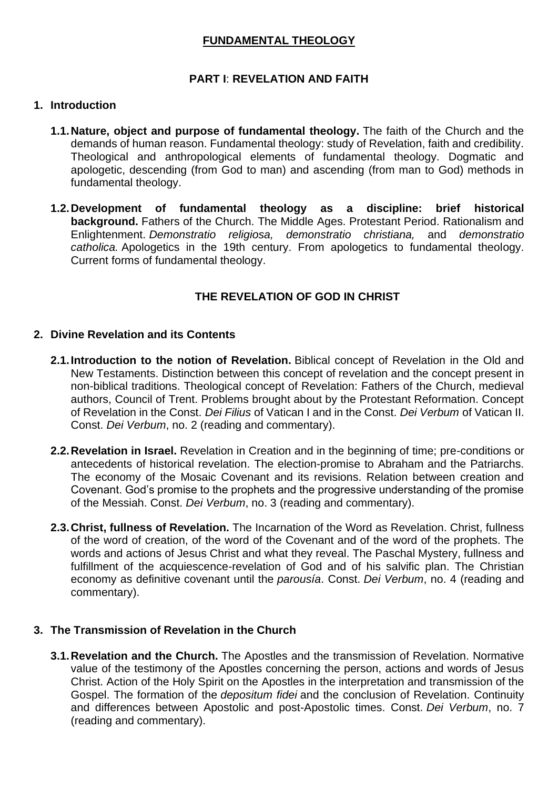## **FUNDAMENTAL THEOLOGY**

## **PART I**: **REVELATION AND FAITH**

#### **1. Introduction**

- **1.1.Nature, object and purpose of fundamental theology.** The faith of the Church and the demands of human reason. Fundamental theology: study of Revelation, faith and credibility. Theological and anthropological elements of fundamental theology. Dogmatic and apologetic, descending (from God to man) and ascending (from man to God) methods in fundamental theology.
- **1.2.Development of fundamental theology as a discipline: brief historical background.** Fathers of the Church. The Middle Ages. Protestant Period. Rationalism and Enlightenment. *Demonstratio religiosa, demonstratio christiana,* and *demonstratio catholica.* Apologetics in the 19th century. From apologetics to fundamental theology. Current forms of fundamental theology.

## **THE REVELATION OF GOD IN CHRIST**

#### **2. Divine Revelation and its Contents**

- **2.1.Introduction to the notion of Revelation.** Biblical concept of Revelation in the Old and New Testaments. Distinction between this concept of revelation and the concept present in non-biblical traditions. Theological concept of Revelation: Fathers of the Church, medieval authors, Council of Trent. Problems brought about by the Protestant Reformation. Concept of Revelation in the Const. *Dei Filius* of Vatican I and in the Const. *Dei Verbum* of Vatican II. Const. *Dei Verbum*, no. 2 (reading and commentary).
- **2.2.Revelation in Israel.** Revelation in Creation and in the beginning of time; pre-conditions or antecedents of historical revelation. The election-promise to Abraham and the Patriarchs. The economy of the Mosaic Covenant and its revisions. Relation between creation and Covenant. God's promise to the prophets and the progressive understanding of the promise of the Messiah. Const. *Dei Verbum*, no. 3 (reading and commentary).
- **2.3.Christ, fullness of Revelation.** The Incarnation of the Word as Revelation. Christ, fullness of the word of creation, of the word of the Covenant and of the word of the prophets. The words and actions of Jesus Christ and what they reveal. The Paschal Mystery, fullness and fulfillment of the acquiescence-revelation of God and of his salvific plan. The Christian economy as definitive covenant until the *parousía*. Const. *Dei Verbum*, no. 4 (reading and commentary).

#### **3. The Transmission of Revelation in the Church**

**3.1.Revelation and the Church.** The Apostles and the transmission of Revelation. Normative value of the testimony of the Apostles concerning the person, actions and words of Jesus Christ. Action of the Holy Spirit on the Apostles in the interpretation and transmission of the Gospel. The formation of the *depositum fidei* and the conclusion of Revelation. Continuity and differences between Apostolic and post-Apostolic times. Const. *Dei Verbum*, no. 7 (reading and commentary).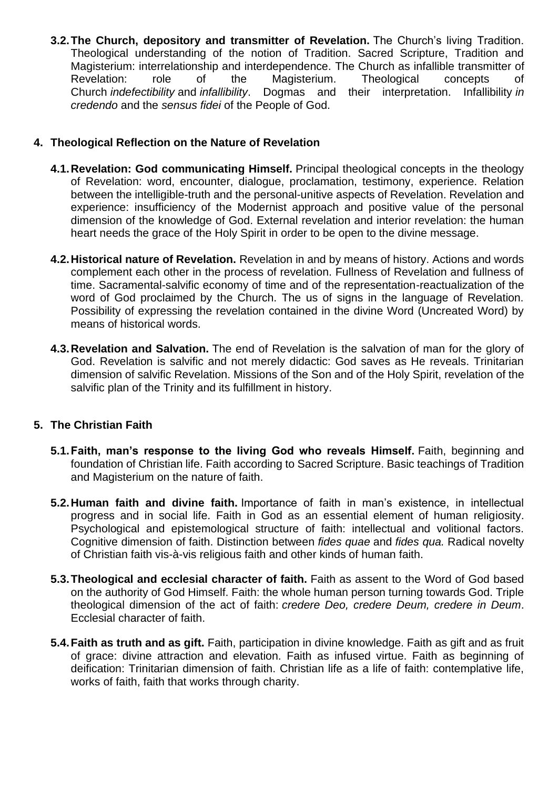**3.2.The Church, depository and transmitter of Revelation.** The Church's living Tradition. Theological understanding of the notion of Tradition. Sacred Scripture, Tradition and Magisterium: interrelationship and interdependence. The Church as infallible transmitter of Revelation: role of the Magisterium. Theological concepts of Church *indefectibility* and *infallibility*. Dogmas and their interpretation. Infallibility *in credendo* and the *sensus fidei* of the People of God.

### **4. Theological Reflection on the Nature of Revelation**

- **4.1.Revelation: God communicating Himself.** Principal theological concepts in the theology of Revelation: word, encounter, dialogue, proclamation, testimony, experience. Relation between the intelligible-truth and the personal-unitive aspects of Revelation. Revelation and experience: insufficiency of the Modernist approach and positive value of the personal dimension of the knowledge of God. External revelation and interior revelation: the human heart needs the grace of the Holy Spirit in order to be open to the divine message.
- **4.2.Historical nature of Revelation.** Revelation in and by means of history. Actions and words complement each other in the process of revelation. Fullness of Revelation and fullness of time. Sacramental-salvific economy of time and of the representation-reactualization of the word of God proclaimed by the Church. The us of signs in the language of Revelation. Possibility of expressing the revelation contained in the divine Word (Uncreated Word) by means of historical words.
- **4.3.Revelation and Salvation.** The end of Revelation is the salvation of man for the glory of God. Revelation is salvific and not merely didactic: God saves as He reveals. Trinitarian dimension of salvific Revelation. Missions of the Son and of the Holy Spirit, revelation of the salvific plan of the Trinity and its fulfillment in history.

## **5. The Christian Faith**

- **5.1.Faith, man's response to the living God who reveals Himself.** Faith, beginning and foundation of Christian life. Faith according to Sacred Scripture. Basic teachings of Tradition and Magisterium on the nature of faith.
- **5.2.Human faith and divine faith.** Importance of faith in man's existence, in intellectual progress and in social life. Faith in God as an essential element of human religiosity. Psychological and epistemological structure of faith: intellectual and volitional factors. Cognitive dimension of faith. Distinction between *fides quae* and *fides qua.* Radical novelty of Christian faith vis-à-vis religious faith and other kinds of human faith.
- **5.3.Theological and ecclesial character of faith.** Faith as assent to the Word of God based on the authority of God Himself. Faith: the whole human person turning towards God. Triple theological dimension of the act of faith: *credere Deo, credere Deum, credere in Deum*. Ecclesial character of faith.
- **5.4.Faith as truth and as gift.** Faith, participation in divine knowledge. Faith as gift and as fruit of grace: divine attraction and elevation. Faith as infused virtue. Faith as beginning of deification: Trinitarian dimension of faith. Christian life as a life of faith: contemplative life, works of faith, faith that works through charity.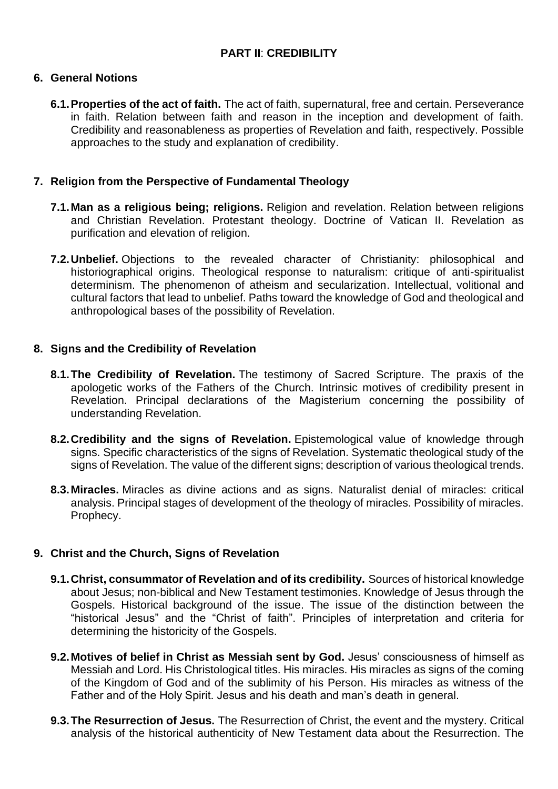# **PART II**: **CREDIBILITY**

#### **6. General Notions**

**6.1.Properties of the act of faith.** The act of faith, supernatural, free and certain. Perseverance in faith. Relation between faith and reason in the inception and development of faith. Credibility and reasonableness as properties of Revelation and faith, respectively. Possible approaches to the study and explanation of credibility.

#### **7. Religion from the Perspective of Fundamental Theology**

- **7.1.Man as a religious being; religions.** Religion and revelation. Relation between religions and Christian Revelation. Protestant theology. Doctrine of Vatican II. Revelation as purification and elevation of religion.
- **7.2.Unbelief.** Objections to the revealed character of Christianity: philosophical and historiographical origins. Theological response to naturalism: critique of anti-spiritualist determinism. The phenomenon of atheism and secularization. Intellectual, volitional and cultural factors that lead to unbelief. Paths toward the knowledge of God and theological and anthropological bases of the possibility of Revelation.

#### **8. Signs and the Credibility of Revelation**

- **8.1.The Credibility of Revelation.** The testimony of Sacred Scripture. The praxis of the apologetic works of the Fathers of the Church. Intrinsic motives of credibility present in Revelation. Principal declarations of the Magisterium concerning the possibility of understanding Revelation.
- **8.2.Credibility and the signs of Revelation.** Epistemological value of knowledge through signs. Specific characteristics of the signs of Revelation. Systematic theological study of the signs of Revelation. The value of the different signs; description of various theological trends.
- **8.3.Miracles.** Miracles as divine actions and as signs. Naturalist denial of miracles: critical analysis. Principal stages of development of the theology of miracles. Possibility of miracles. Prophecy.

## **9. Christ and the Church, Signs of Revelation**

- **9.1.Christ, consummator of Revelation and of its credibility.** Sources of historical knowledge about Jesus; non-biblical and New Testament testimonies. Knowledge of Jesus through the Gospels. Historical background of the issue. The issue of the distinction between the "historical Jesus" and the "Christ of faith". Principles of interpretation and criteria for determining the historicity of the Gospels.
- **9.2.Motives of belief in Christ as Messiah sent by God.** Jesus' consciousness of himself as Messiah and Lord. His Christological titles. His miracles. His miracles as signs of the coming of the Kingdom of God and of the sublimity of his Person. His miracles as witness of the Father and of the Holy Spirit. Jesus and his death and man's death in general.
- **9.3.The Resurrection of Jesus.** The Resurrection of Christ, the event and the mystery. Critical analysis of the historical authenticity of New Testament data about the Resurrection. The